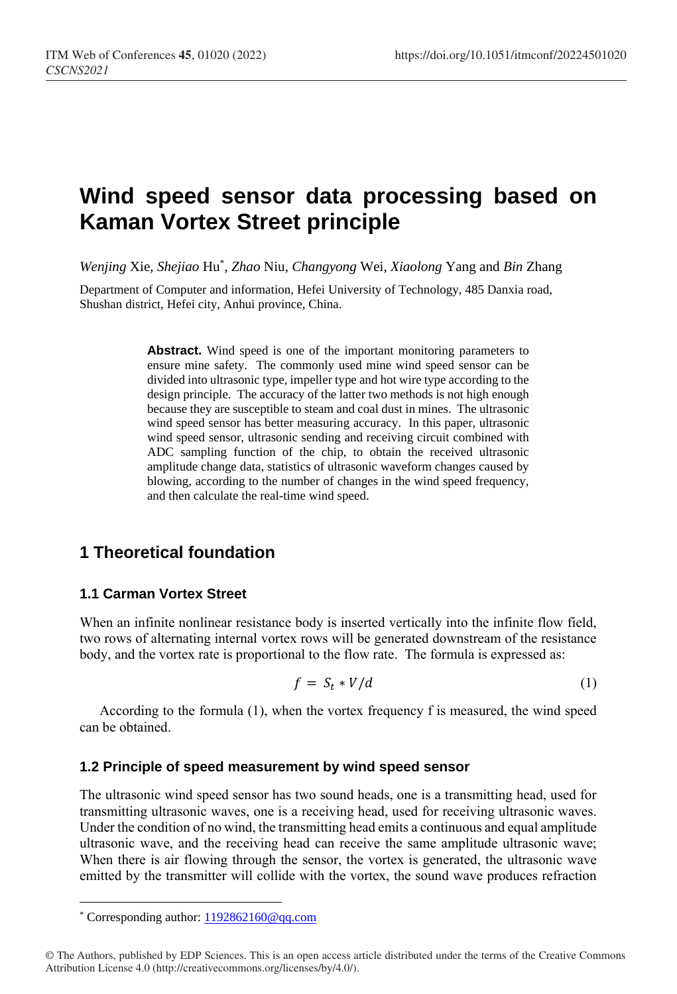# **Wind speed sensor data processing based on Kaman Vortex Street principle**

*Wenjing* Xie, *Shejiao* Hu\* , *Zhao* Niu, *Changyong* Wei, *Xiaolong* Yang and *Bin* Zhang

Department of Computer and information, Hefei University of Technology, 485 Danxia road, Shushan district, Hefei city, Anhui province, China.

> Abstract. Wind speed is one of the important monitoring parameters to ensure mine safety. The commonly used mine wind speed sensor can be divided into ultrasonic type, impeller type and hot wire type according to the design principle. The accuracy of the latter two methods is not high enough because they are susceptible to steam and coal dust in mines. The ultrasonic wind speed sensor has better measuring accuracy. In this paper, ultrasonic wind speed sensor, ultrasonic sending and receiving circuit combined with ADC sampling function of the chip, to obtain the received ultrasonic amplitude change data, statistics of ultrasonic waveform changes caused by blowing, according to the number of changes in the wind speed frequency, and then calculate the real-time wind speed.

## **1 Theoretical foundation**

### **1.1 Carman Vortex Street**

When an infinite nonlinear resistance body is inserted vertically into the infinite flow field, two rows of alternating internal vortex rows will be generated downstream of the resistance body, and the vortex rate is proportional to the flow rate. The formula is expressed as:

$$
f = S_t * V/d \tag{1}
$$

According to the formula (1), when the vortex frequency f is measured, the wind speed can be obtained.

#### **1.2 Principle of speed measurement by wind speed sensor**

The ultrasonic wind speed sensor has two sound heads, one is a transmitting head, used for transmitting ultrasonic waves, one is a receiving head, used for receiving ultrasonic waves. Under the condition of no wind, the transmitting head emits a continuous and equal amplitude ultrasonic wave, and the receiving head can receive the same amplitude ultrasonic wave; When there is air flowing through the sensor, the vortex is generated, the ultrasonic wave emitted by the transmitter will collide with the vortex, the sound wave produces refraction

 $\overline{a}$ 

<sup>\*</sup> Corresponding author[: 1192862160@qq.com](mailto:1192862160@qq.com)

<sup>©</sup> The Authors, published by EDP Sciences. This is an open access article distributed under the terms of the Creative Commons Attribution License 4.0 (http://creativecommons.org/licenses/by/4.0/).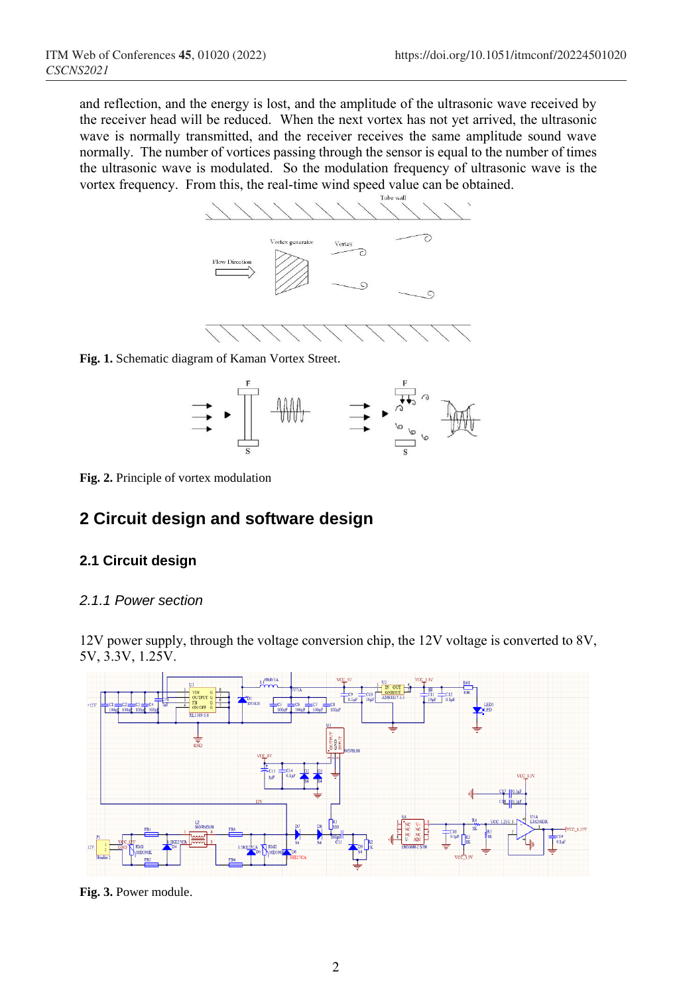and reflection, and the energy is lost, and the amplitude of the ultrasonic wave received by the receiver head will be reduced. When the next vortex has not yet arrived, the ultrasonic wave is normally transmitted, and the receiver receives the same amplitude sound wave normally. The number of vortices passing through the sensor is equal to the number of times the ultrasonic wave is modulated. So the modulation frequency of ultrasonic wave is the vortex frequency. From this, the real-time wind speed value can be obtained.



**Fig. 1.** Schematic diagram of Kaman Vortex Street.



**Fig. 2.** Principle of vortex modulation

## **2 Circuit design and software design**

## **2.1 Circuit design**

### *2.1.1 Power section*

12V power supply, through the voltage conversion chip, the 12V voltage is converted to 8V, 5V, 3.3V, 1.25V.



**Fig. 3.** Power module.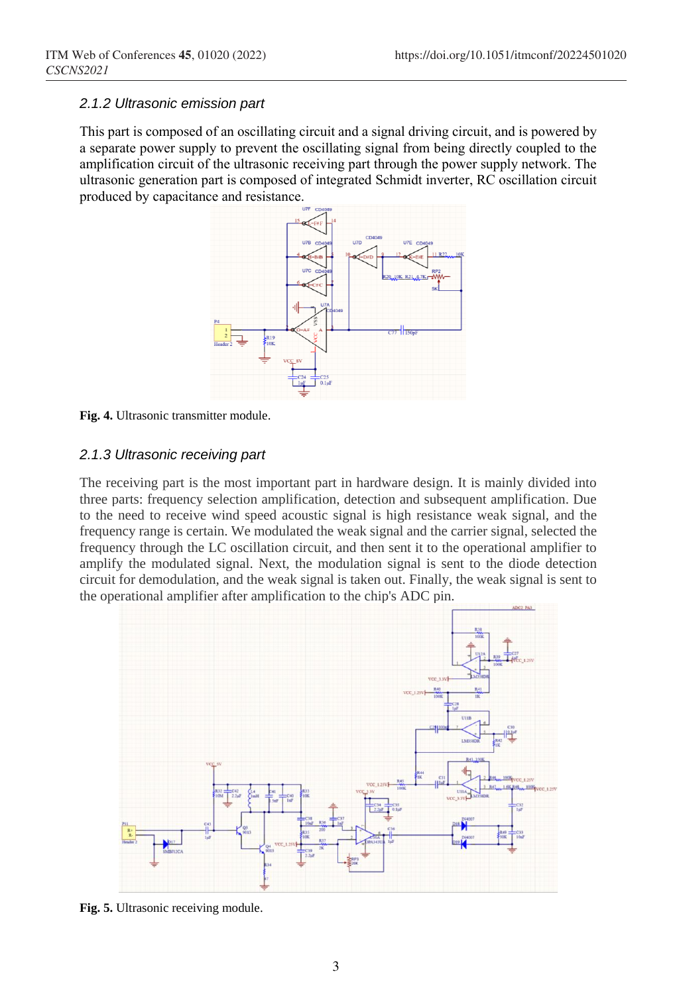#### *2.1.2 Ultrasonic emission part*

This part is composed of an oscillating circuit and a signal driving circuit, and is powered by a separate power supply to prevent the oscillating signal from being directly coupled to the amplification circuit of the ultrasonic receiving part through the power supply network. The ultrasonic generation part is composed of integrated Schmidt inverter, RC oscillation circuit produced by capacitance and resistance.



**Fig. 4.** Ultrasonic transmitter module.

#### *2.1.3 Ultrasonic receiving part*

The receiving part is the most important part in hardware design. It is mainly divided into three parts: frequency selection amplification, detection and subsequent amplification. Due to the need to receive wind speed acoustic signal is high resistance weak signal, and the frequency range is certain. We modulated the weak signal and the carrier signal, selected the frequency through the LC oscillation circuit, and then sent it to the operational amplifier to amplify the modulated signal. Next, the modulation signal is sent to the diode detection circuit for demodulation, and the weak signal is taken out. Finally, the weak signal is sent to the operational amplifier after amplification to the chip's ADC pin.



**Fig. 5.** Ultrasonic receiving module.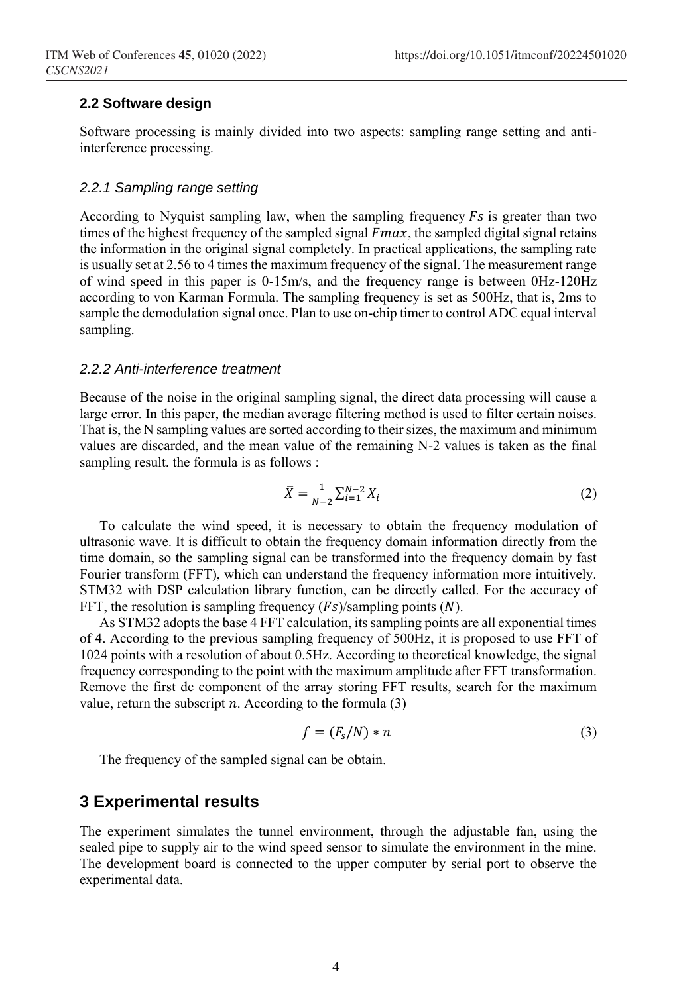#### **2.2 Software design**

Software processing is mainly divided into two aspects: sampling range setting and antiinterference processing.

#### *2.2.1 Sampling range setting*

According to Nyquist sampling law, when the sampling frequency  $Fs$  is greater than two times of the highest frequency of the sampled signal  $Fmax$ , the sampled digital signal retains the information in the original signal completely. In practical applications, the sampling rate is usually set at 2.56 to 4 times the maximum frequency of the signal. The measurement range of wind speed in this paper is 0-15m/s, and the frequency range is between 0Hz-120Hz according to von Karman Formula. The sampling frequency is set as 500Hz, that is, 2ms to sample the demodulation signal once. Plan to use on-chip timer to control ADC equal interval sampling.

#### *2.2.2 Anti-interference treatment*

Because of the noise in the original sampling signal, the direct data processing will cause a large error. In this paper, the median average filtering method is used to filter certain noises. That is, the N sampling values are sorted according to their sizes, the maximum and minimum values are discarded, and the mean value of the remaining N-2 values is taken as the final sampling result. the formula is as follows :

$$
\bar{X} = \frac{1}{N-2} \sum_{i=1}^{N-2} X_i
$$
 (2)

To calculate the wind speed, it is necessary to obtain the frequency modulation of ultrasonic wave. It is difficult to obtain the frequency domain information directly from the time domain, so the sampling signal can be transformed into the frequency domain by fast Fourier transform (FFT), which can understand the frequency information more intuitively. STM32 with DSP calculation library function, can be directly called. For the accuracy of FFT, the resolution is sampling frequency  $(Fs)/\text{sampling points} (N)$ .

As STM32 adopts the base 4 FFT calculation, its sampling points are all exponential times of 4. According to the previous sampling frequency of 500Hz, it is proposed to use FFT of 1024 points with a resolution of about 0.5Hz. According to theoretical knowledge, the signal frequency corresponding to the point with the maximum amplitude after FFT transformation. Remove the first dc component of the array storing FFT results, search for the maximum value, return the subscript  $n$ . According to the formula  $(3)$ 

$$
f = (F_s/N) * n \tag{3}
$$

The frequency of the sampled signal can be obtain.

## **3 Experimental results**

The experiment simulates the tunnel environment, through the adjustable fan, using the sealed pipe to supply air to the wind speed sensor to simulate the environment in the mine. The development board is connected to the upper computer by serial port to observe the experimental data.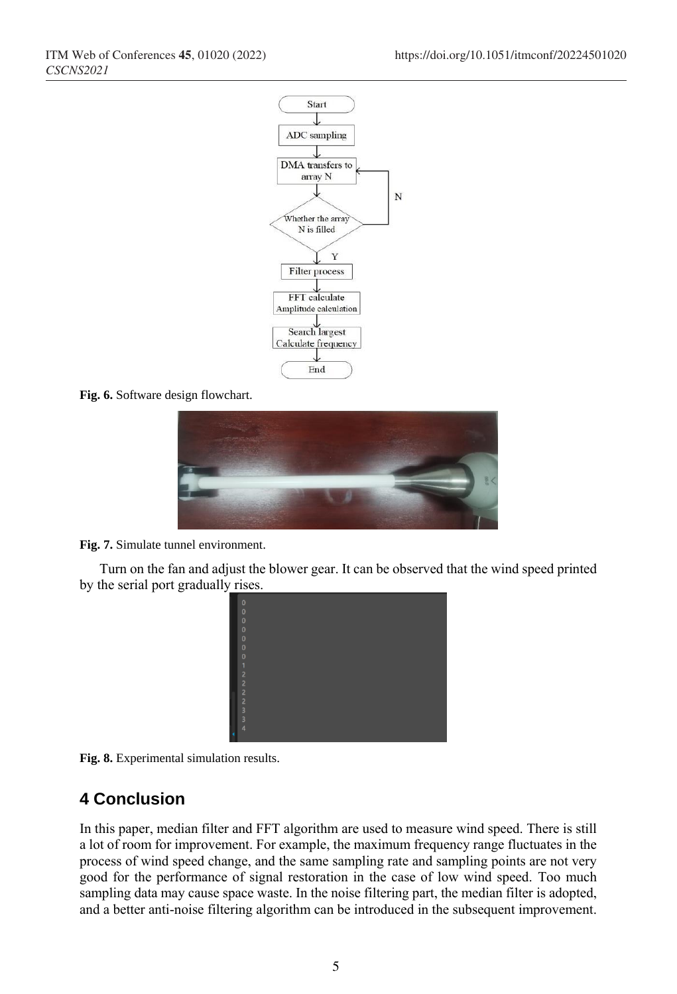

**Fig. 6.** Software design flowchart.



**Fig. 7.** Simulate tunnel environment.

Turn on the fan and adjust the blower gear. It can be observed that the wind speed printed by the serial port gradually rises.





## **4 Conclusion**

In this paper, median filter and FFT algorithm are used to measure wind speed. There is still a lot of room for improvement. For example, the maximum frequency range fluctuates in the process of wind speed change, and the same sampling rate and sampling points are not very good for the performance of signal restoration in the case of low wind speed. Too much sampling data may cause space waste. In the noise filtering part, the median filter is adopted, and a better anti-noise filtering algorithm can be introduced in the subsequent improvement.